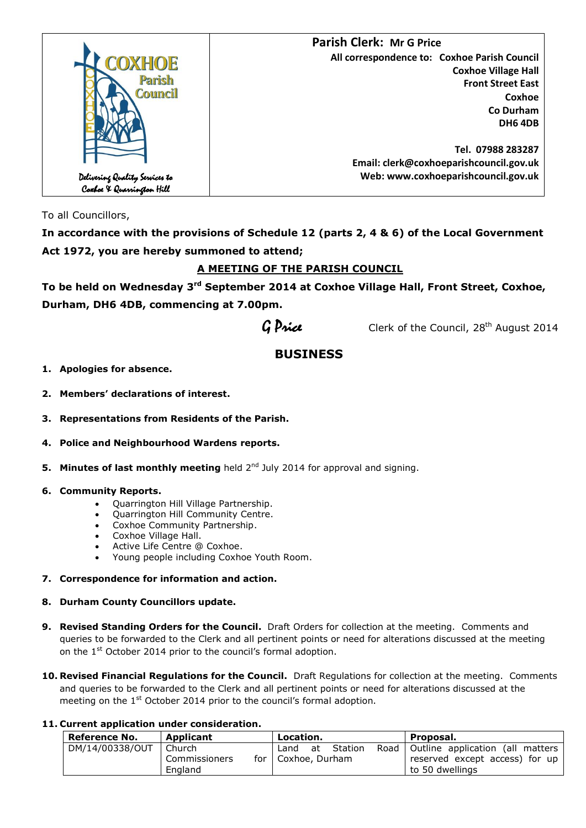

To all Councillors,

**In accordance with the provisions of Schedule 12 (parts 2, 4 & 6) of the Local Government Act 1972, you are hereby summoned to attend;**

# **A MEETING OF THE PARISH COUNCIL**

**To be held on Wednesday 3 rd September 2014 at Coxhoe Village Hall, Front Street, Coxhoe, Durham, DH6 4DB, commencing at 7.00pm.**

 $G$  Price Clerk of the Council, 28<sup>th</sup> August 2014

# **BUSINESS**

**1. Apologies for absence.**

**2. Members' declarations of interest.**

- **3. Representations from Residents of the Parish.**
- **4. Police and Neighbourhood Wardens reports.**
- **5. Minutes of last monthly meeting** held 2<sup>nd</sup> July 2014 for approval and signing.
- **6. Community Reports.**
	- Quarrington Hill Village Partnership.
	- Quarrington Hill Community Centre.
	- Coxhoe Community Partnership.
	- Coxhoe Village Hall.
	- Active Life Centre @ Coxhoe.
	- Young people including Coxhoe Youth Room.
- **7. Correspondence for information and action.**
- **8. Durham County Councillors update.**
- **9. Revised Standing Orders for the Council.** Draft Orders for collection at the meeting. Comments and queries to be forwarded to the Clerk and all pertinent points or need for alterations discussed at the meeting on the 1<sup>st</sup> October 2014 prior to the council's formal adoption.
- **10. Revised Financial Regulations for the Council.** Draft Regulations for collection at the meeting. Comments and queries to be forwarded to the Clerk and all pertinent points or need for alterations discussed at the meeting on the 1<sup>st</sup> October 2014 prior to the council's formal adoption.

#### **11. Current application under consideration.**

| Reference No.   | Applicant                | Location.             | Proposal.                                         |
|-----------------|--------------------------|-----------------------|---------------------------------------------------|
| DM/14/00338/OUT | Church                   | Station<br>at<br>Land | Road   Outline application (all matters           |
|                 | Commissioners<br>England | for   Coxhoe, Durham  | reserved except access) for up<br>to 50 dwellings |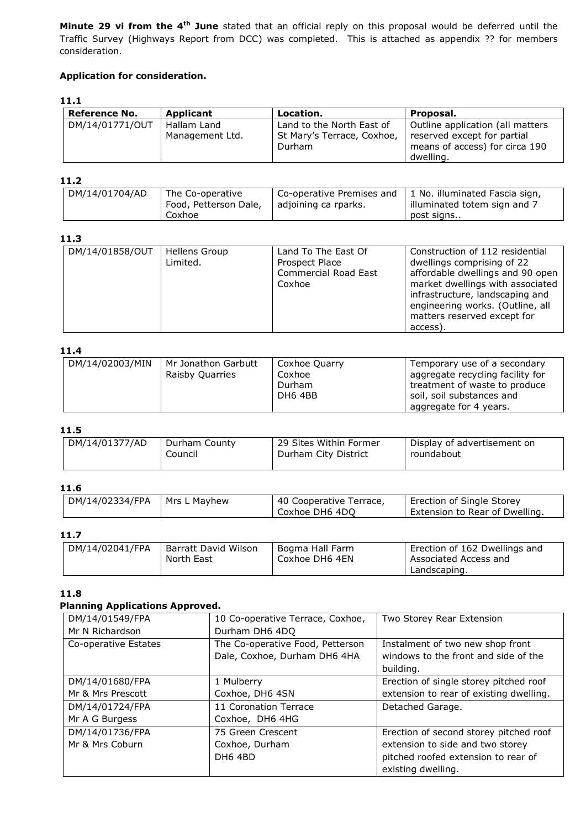**Minute 29 vi from the 4th June** stated that an official reply on this proposal would be deferred until the Traffic Survey (Highways Report from DCC) was completed. This is attached as appendix ?? for members consideration.

# **Application for consideration.**

# **11.1**

| <b>Reference No.</b> | Applicant       | Location.                  | Proposal.                        |
|----------------------|-----------------|----------------------------|----------------------------------|
| DM/14/01771/OUT      | Hallam Land     | Land to the North East of  | Outline application (all matters |
|                      | Management Ltd. | St Mary's Terrace, Coxhoe, | reserved except for partial      |
|                      |                 | Durham                     | means of access) for circa 190   |
|                      |                 |                            | dwelling.                        |

#### **11.2**

| DM/14/01704/AD | The Co-operative      | Co-operative Premises and | 1 No. illuminated Fascia sign, |
|----------------|-----------------------|---------------------------|--------------------------------|
|                | Food, Petterson Dale, | adjoining ca rparks.      | illuminated totem sign and 7   |
|                | Coxhoe                |                           | post signs                     |

## **11.3**

| DM/14/01858/OUT | Hellens Group<br>Limited. | Land To The East Of<br>Prospect Place<br>Commercial Road East<br>Coxhoe | Construction of 112 residential<br>dwellings comprising of 22<br>affordable dwellings and 90 open<br>market dwellings with associated<br>infrastructure, landscaping and<br>engineering works. (Outline, all<br>matters reserved except for |
|-----------------|---------------------------|-------------------------------------------------------------------------|---------------------------------------------------------------------------------------------------------------------------------------------------------------------------------------------------------------------------------------------|
|                 |                           |                                                                         | access).                                                                                                                                                                                                                                    |

#### **11.4**

| ----            |                                               |                                              |                                                                                                                                                          |
|-----------------|-----------------------------------------------|----------------------------------------------|----------------------------------------------------------------------------------------------------------------------------------------------------------|
| DM/14/02003/MIN | Mr Jonathon Garbutt<br><b>Raisby Quarries</b> | Coxhoe Quarry<br>Coxhoe<br>Durham<br>DH6 4BB | Temporary use of a secondary<br>aggregate recycling facility for<br>treatment of waste to produce<br>soil, soil substances and<br>aggregate for 4 years. |
|                 |                                               |                                              |                                                                                                                                                          |

#### **11.5**

| DM/14/01377/AD | Durham County | 29 Sites Within Former | Display of advertisement on |
|----------------|---------------|------------------------|-----------------------------|
|                | Council       | Durham City District   | roundabout                  |
|                |               |                        |                             |

#### **11.6**

| $DM/14/02334/FPA$   Mrs L Mayhew | 40 Cooperative Terrace, | Erection of Single Storey      |
|----------------------------------|-------------------------|--------------------------------|
|                                  | Coxhoe DH6 4DO          | Extension to Rear of Dwelling. |

#### **11.7**

| DM/14/02041/FPA | Barratt David Wilson | Bogma Hall Farm | Erection of 162 Dwellings and |
|-----------------|----------------------|-----------------|-------------------------------|
|                 | North East           | Coxhoe DH6 4EN  | Associated Access and         |
|                 |                      |                 | Landscaping.                  |

#### **11.8**

#### **Planning Applications Approved.**

| DM/14/01549/FPA      | 10 Co-operative Terrace, Coxhoe, | Two Storey Rear Extension               |
|----------------------|----------------------------------|-----------------------------------------|
| Mr N Richardson      | Durham DH6 4DQ                   |                                         |
| Co-operative Estates | The Co-operative Food, Petterson | Instalment of two new shop front        |
|                      | Dale, Coxhoe, Durham DH6 4HA     | windows to the front and side of the    |
|                      |                                  | building.                               |
| DM/14/01680/FPA      | 1 Mulberry                       | Erection of single storey pitched roof  |
| Mr & Mrs Prescott    | Coxhoe, DH6 4SN                  | extension to rear of existing dwelling. |
| DM/14/01724/FPA      | 11 Coronation Terrace            | Detached Garage.                        |
| Mr A G Burgess       | Coxhoe, DH6 4HG                  |                                         |
| DM/14/01736/FPA      | 75 Green Crescent                | Erection of second storey pitched roof  |
| Mr & Mrs Coburn      | Coxhoe, Durham                   | extension to side and two storey        |
|                      | DH6 4BD                          | pitched roofed extension to rear of     |
|                      |                                  | existing dwelling.                      |